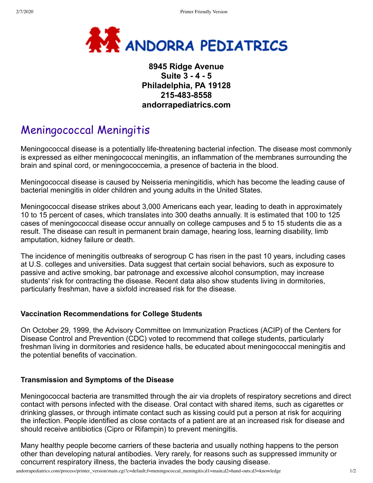

# **8945 Ridge Avenue Suite 3 - 4 - 5 Philadelphia, PA 19128 215-483-8558 andorrapediatrics.com**

# Meningococcal Meningitis

Meningococcal disease is a potentially life-threatening bacterial infection. The disease most commonly is expressed as either meningococcal meningitis, an inflammation of the membranes surrounding the brain and spinal cord, or meningococcemia, a presence of bacteria in the blood.

Meningococcal disease is caused by Neisseria meningitidis, which has become the leading cause of bacterial meningitis in older children and young adults in the United States.

Meningococcal disease strikes about 3,000 Americans each year, leading to death in approximately 10 to 15 percent of cases, which translates into 300 deaths annually. It is estimated that 100 to 125 cases of meningococcal disease occur annually on college campuses and 5 to 15 students die as a result. The disease can result in permanent brain damage, hearing loss, learning disability, limb amputation, kidney failure or death.

The incidence of meningitis outbreaks of serogroup C has risen in the past 10 years, including cases at U.S. colleges and universities. Data suggest that certain social behaviors, such as exposure to passive and active smoking, bar patronage and excessive alcohol consumption, may increase students' risk for contracting the disease. Recent data also show students living in dormitories, particularly freshman, have a sixfold increased risk for the disease.

## **Vaccination Recommendations for College Students**

On October 29, 1999, the Advisory Committee on Immunization Practices (ACIP) of the Centers for Disease Control and Prevention (CDC) voted to recommend that college students, particularly freshman living in dormitories and residence halls, be educated about meningococcal meningitis and the potential benefits of vaccination.

## **Transmission and Symptoms of the Disease**

Meningococcal bacteria are transmitted through the air via droplets of respiratory secretions and direct contact with persons infected with the disease. Oral contact with shared items, such as cigarettes or drinking glasses, or through intimate contact such as kissing could put a person at risk for acquiring the infection. People identified as close contacts of a patient are at an increased risk for disease and should receive antibiotics (Cipro or Rifampin) to prevent meningitis.

Many healthy people become carriers of these bacteria and usually nothing happens to the person other than developing natural antibodies. Very rarely, for reasons such as suppressed immunity or concurrent respiratory illness, the bacteria invades the body causing disease.